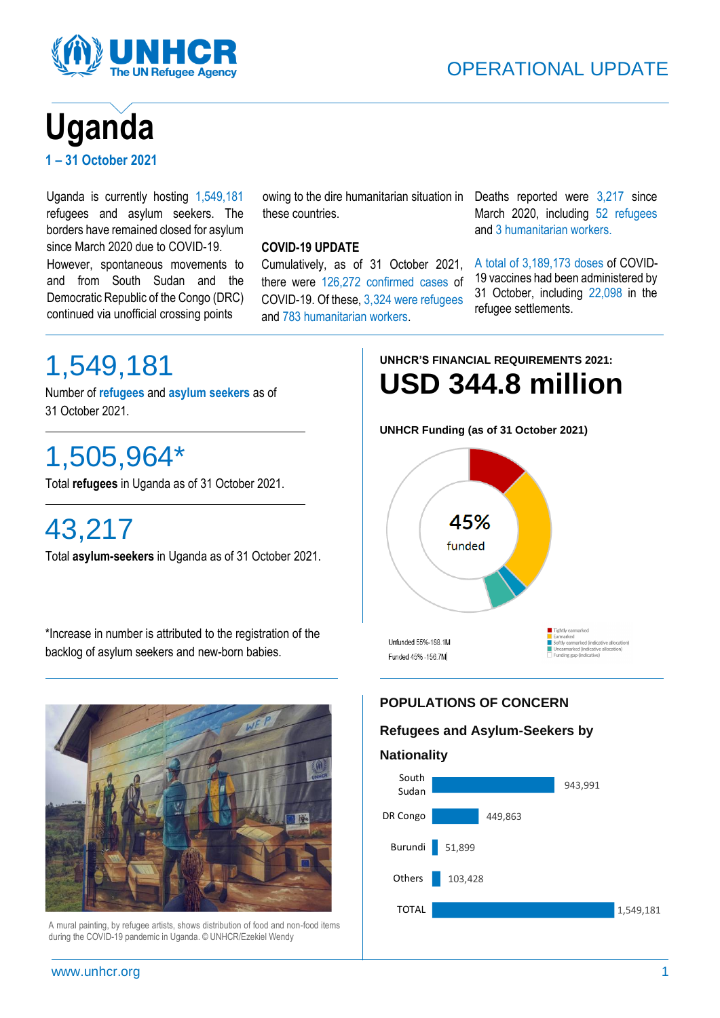



# **Uganda 1 – 31 October 2021**

Uganda is currently hosting 1,549,181 refugees and asylum seekers. The borders have remained closed for asylum since March 2020 due to COVID-19. However, spontaneous movements to and from South Sudan and the Democratic Republic of the Congo (DRC) continued via unofficial crossing points

# these countries.

# **COVID-19 UPDATE**

Cumulatively, as of 31 October 2021, there were 126,272 confirmed cases of COVID-19. Of these, 3,324 were refugees and 783 humanitarian workers.

owing to the dire humanitarian situation in Deaths reported were 3,217 since March 2020, including 52 refugees and 3 humanitarian workers.

> A total of 3,189,173 doses of COVID-19 vaccines had been administered by 31 October, including 22,098 in the refugee settlements.

# 1,549,181

Number of **refugees** and **asylum seekers** as of 31 October 2021.

# 1,505,964\*

Total **refugees** in Uganda as of 31 October 2021.

# 43,217

Total **asylum-seekers** in Uganda as of 31 October 2021.

\*Increase in number is attributed to the registration of the backlog of asylum seekers and new-born babies.

**UNHCR'S FINANCIAL REQUIREMENTS 2021: USD 344.8 million**

**UNHCR Funding (as of 31 October 2021)**





A mural painting, by refugee artists, shows distribution of food and non-food items during the COVID-19 pandemic in Uganda. © UNHCR/Ezekiel Wendy

# **POPULATIONS OF CONCERN**

# **Refugees and Asylum-Seekers by**

## **Nationality**

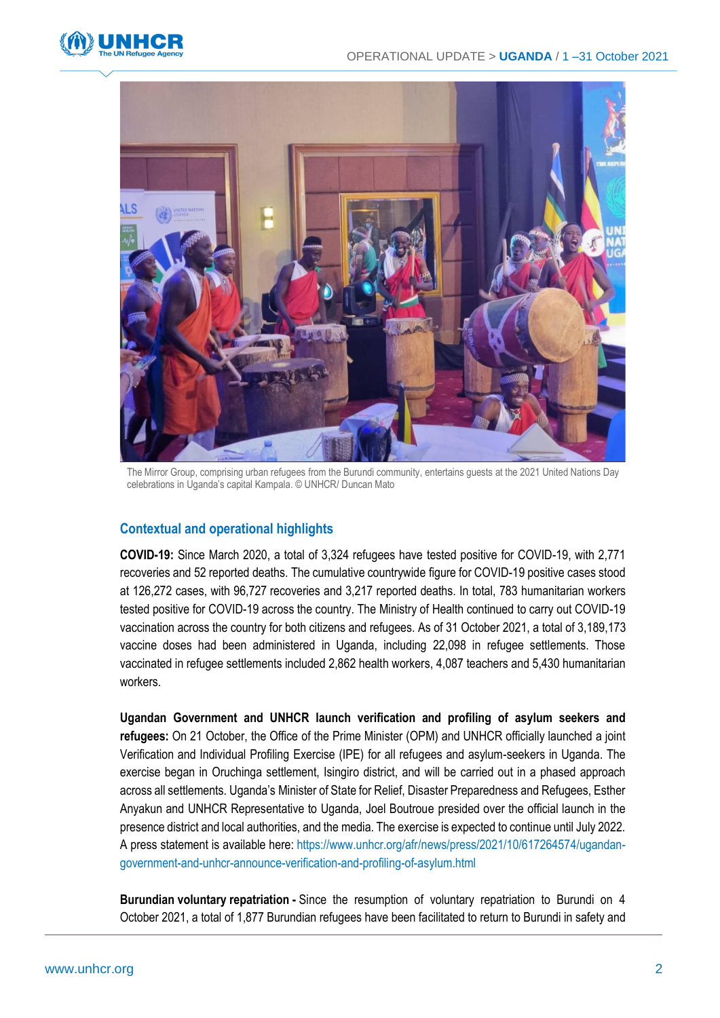



The Mirror Group, comprising urban refugees from the Burundi community, entertains guests at the 2021 United Nations Day celebrations in Uganda's capital Kampala. © UNHCR/ Duncan Mato

## **Contextual and operational highlights**

**COVID-19:** Since March 2020, a total of 3,324 refugees have tested positive for COVID-19, with 2,771 recoveries and 52 reported deaths. The cumulative countrywide figure for COVID-19 positive cases stood at 126,272 cases, with 96,727 recoveries and 3,217 reported deaths. In total, 783 humanitarian workers tested positive for COVID-19 across the country. The Ministry of Health continued to carry out COVID-19 vaccination across the country for both citizens and refugees. As of 31 October 2021, a total of 3,189,173 vaccine doses had been administered in Uganda, including 22,098 in refugee settlements. Those vaccinated in refugee settlements included 2,862 health workers, 4,087 teachers and 5,430 humanitarian workers.

**Ugandan Government and UNHCR launch verification and profiling of asylum seekers and refugees:** On 21 October, the Office of the Prime Minister (OPM) and UNHCR officially launched a joint Verification and Individual Profiling Exercise (IPE) for all refugees and asylum-seekers in Uganda. The exercise began in Oruchinga settlement, Isingiro district, and will be carried out in a phased approach across all settlements. Uganda's Minister of State for Relief, Disaster Preparedness and Refugees, Esther Anyakun and UNHCR Representative to Uganda, Joel Boutroue presided over the official launch in the presence district and local authorities, and the media. The exercise is expected to continue until July 2022. A press statement is available here: [https://www.unhcr.org/afr/news/press/2021/10/617264574/ugandan](https://eur02.safelinks.protection.outlook.com/?url=https%3A%2F%2Fwww.unhcr.org%2Fafr%2Fnews%2Fpress%2F2021%2F10%2F617264574%2Fugandan-government-and-unhcr-announce-verification-and-profiling-of-asylum.html&data=04%7C01%7Cnuri%40unhcr.org%7C3320d8b5fed34f071c6808d9a8f0784d%7Ce5c37981666441348a0c6543d2af80be%7C0%7C0%7C637726573097915418%7CUnknown%7CTWFpbGZsb3d8eyJWIjoiMC4wLjAwMDAiLCJQIjoiV2luMzIiLCJBTiI6Ik1haWwiLCJXVCI6Mn0%3D%7C3000&sdata=nFrlXc%2B6%2FEbFiC82qobqXCIGpptTLjSIWx8RGNzpGVY%3D&reserved=0)[government-and-unhcr-announce-verification-and-profiling-of-asylum.html](https://eur02.safelinks.protection.outlook.com/?url=https%3A%2F%2Fwww.unhcr.org%2Fafr%2Fnews%2Fpress%2F2021%2F10%2F617264574%2Fugandan-government-and-unhcr-announce-verification-and-profiling-of-asylum.html&data=04%7C01%7Cnuri%40unhcr.org%7C3320d8b5fed34f071c6808d9a8f0784d%7Ce5c37981666441348a0c6543d2af80be%7C0%7C0%7C637726573097915418%7CUnknown%7CTWFpbGZsb3d8eyJWIjoiMC4wLjAwMDAiLCJQIjoiV2luMzIiLCJBTiI6Ik1haWwiLCJXVCI6Mn0%3D%7C3000&sdata=nFrlXc%2B6%2FEbFiC82qobqXCIGpptTLjSIWx8RGNzpGVY%3D&reserved=0)

**Burundian voluntary repatriation -** Since the resumption of voluntary repatriation to Burundi on 4 October 2021, a total of 1,877 Burundian refugees have been facilitated to return to Burundi in safety and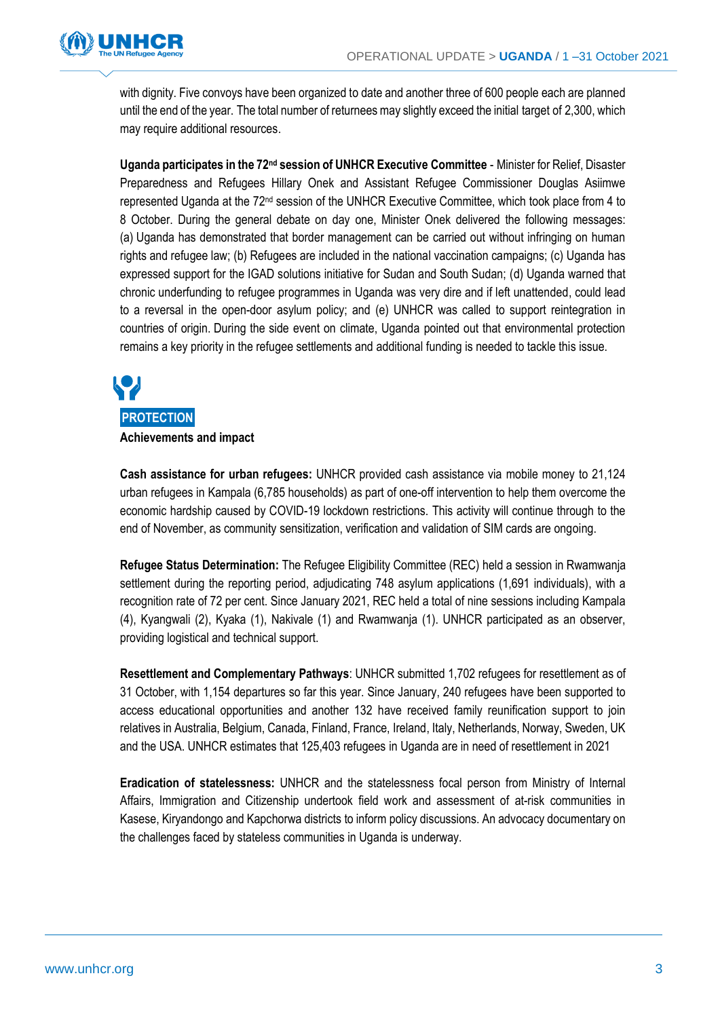

with dignity. Five convoys have been organized to date and another three of 600 people each are planned until the end of the year. The total number of returnees may slightly exceed the initial target of 2,300, which may require additional resources.

**Uganda participates in the 72nd session of UNHCR Executive Committee** - Minister for Relief, Disaster Preparedness and Refugees Hillary Onek and Assistant Refugee Commissioner Douglas Asiimwe represented Uganda at the 72nd session of the UNHCR Executive Committee, which took place from 4 to 8 October. During the general debate on day one, Minister Onek delivered the following messages: (a) Uganda has demonstrated that border management can be carried out without infringing on human rights and refugee law; (b) Refugees are included in the national vaccination campaigns; (c) Uganda has expressed support for the IGAD solutions initiative for Sudan and South Sudan; (d) Uganda warned that chronic underfunding to refugee programmes in Uganda was very dire and if left unattended, could lead to a reversal in the open-door asylum policy; and (e) UNHCR was called to support reintegration in countries of origin. During the side event on climate, Uganda pointed out that environmental protection remains a key priority in the refugee settlements and additional funding is needed to tackle this issue.



**Cash assistance for urban refugees:** UNHCR provided cash assistance via mobile money to 21,124 urban refugees in Kampala (6,785 households) as part of one-off intervention to help them overcome the economic hardship caused by COVID-19 lockdown restrictions. This activity will continue through to the end of November, as community sensitization, verification and validation of SIM cards are ongoing.

**Refugee Status Determination:** The Refugee Eligibility Committee (REC) held a session in Rwamwanja settlement during the reporting period, adjudicating 748 asylum applications (1,691 individuals), with a recognition rate of 72 per cent. Since January 2021, REC held a total of nine sessions including Kampala (4), Kyangwali (2), Kyaka (1), Nakivale (1) and Rwamwanja (1). UNHCR participated as an observer, providing logistical and technical support.

**Resettlement and Complementary Pathways**: UNHCR submitted 1,702 refugees for resettlement as of 31 October, with 1,154 departures so far this year. Since January, 240 refugees have been supported to access educational opportunities and another 132 have received family reunification support to join relatives in Australia, Belgium, Canada, Finland, France, Ireland, Italy, Netherlands, Norway, Sweden, UK and the USA. UNHCR estimates that 125,403 refugees in Uganda are in need of resettlement in 2021

**Eradication of statelessness:** UNHCR and the statelessness focal person from Ministry of Internal Affairs, Immigration and Citizenship undertook field work and assessment of at-risk communities in Kasese, Kiryandongo and Kapchorwa districts to inform policy discussions. An advocacy documentary on the challenges faced by stateless communities in Uganda is underway.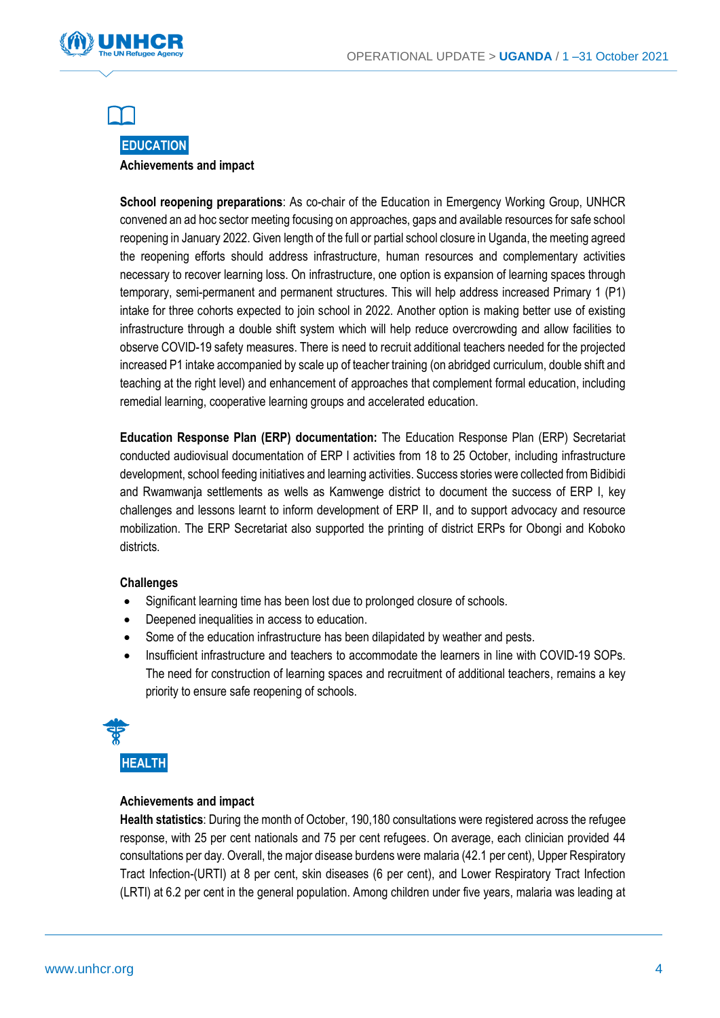



## **EDUCATION Achievements and impact**

**School reopening preparations**: As co-chair of the Education in Emergency Working Group, UNHCR convened an ad hoc sector meeting focusing on approaches, gaps and available resources for safe school reopening in January 2022. Given length of the full or partial school closure in Uganda, the meeting agreed the reopening efforts should address infrastructure, human resources and complementary activities necessary to recover learning loss. On infrastructure, one option is expansion of learning spaces through temporary, semi-permanent and permanent structures. This will help address increased Primary 1 (P1) intake for three cohorts expected to join school in 2022. Another option is making better use of existing infrastructure through a double shift system which will help reduce overcrowding and allow facilities to observe COVID-19 safety measures. There is need to recruit additional teachers needed for the projected increased P1 intake accompanied by scale up of teacher training (on abridged curriculum, double shift and teaching at the right level) and enhancement of approaches that complement formal education, including remedial learning, cooperative learning groups and accelerated education.

**Education Response Plan (ERP) documentation:** The Education Response Plan (ERP) Secretariat conducted audiovisual documentation of ERP I activities from 18 to 25 October, including infrastructure development, school feeding initiatives and learning activities. Success stories were collected from Bidibidi and Rwamwanja settlements as wells as Kamwenge district to document the success of ERP I, key challenges and lessons learnt to inform development of ERP II, and to support advocacy and resource mobilization. The ERP Secretariat also supported the printing of district ERPs for Obongi and Koboko districts.

## **Challenges**

- Significant learning time has been lost due to prolonged closure of schools.
- Deepened inequalities in access to education.
- Some of the education infrastructure has been dilapidated by weather and pests.
- Insufficient infrastructure and teachers to accommodate the learners in line with COVID-19 SOPs. The need for construction of learning spaces and recruitment of additional teachers, remains a key priority to ensure safe reopening of schools.



**HEALTH**

## **Achievements and impact**

**Health statistics**: During the month of October, 190,180 consultations were registered across the refugee response, with 25 per cent nationals and 75 per cent refugees. On average, each clinician provided 44 consultations per day. Overall, the major disease burdens were malaria (42.1 per cent), Upper Respiratory Tract Infection-(URTI) at 8 per cent, skin diseases (6 per cent), and Lower Respiratory Tract Infection (LRTI) at 6.2 per cent in the general population. Among children under five years, malaria was leading at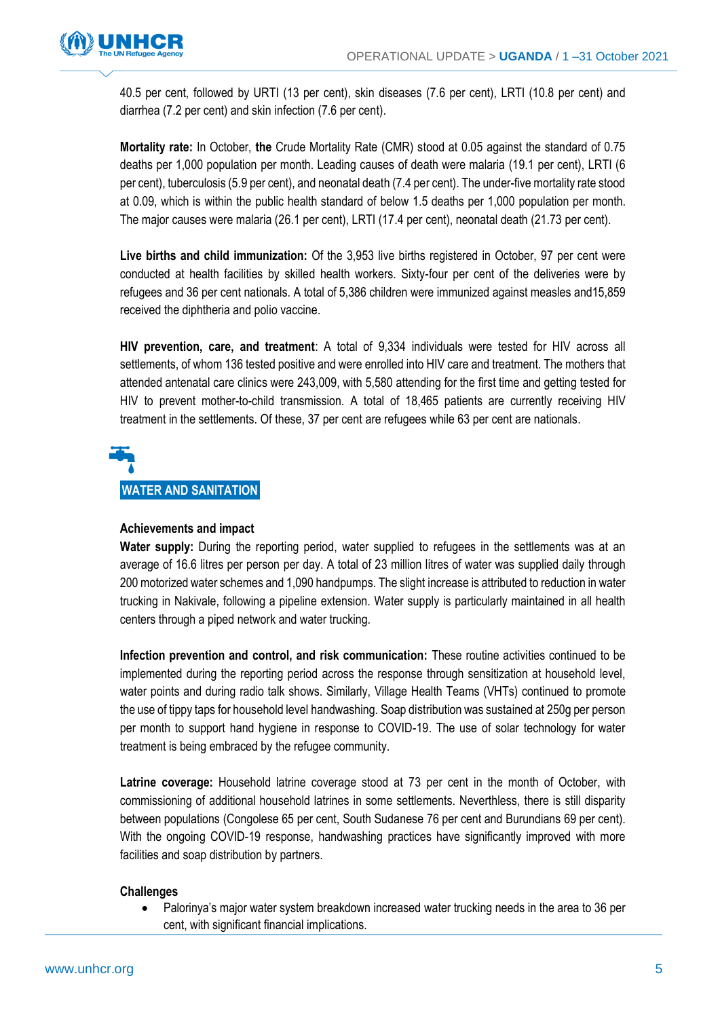

40.5 per cent, followed by URTI (13 per cent), skin diseases (7.6 per cent), LRTI (10.8 per cent) and diarrhea (7.2 per cent) and skin infection (7.6 per cent).

**Mortality rate:** In October, **the** Crude Mortality Rate (CMR) stood at 0.05 against the standard of 0.75 deaths per 1,000 population per month. Leading causes of death were malaria (19.1 per cent), LRTI (6 per cent), tuberculosis (5.9 per cent), and neonatal death (7.4 per cent). The under-five mortality rate stood at 0.09, which is within the public health standard of below 1.5 deaths per 1,000 population per month. The major causes were malaria (26.1 per cent), LRTI (17.4 per cent), neonatal death (21.73 per cent).

**Live births and child immunization:** Of the 3,953 live births registered in October, 97 per cent were conducted at health facilities by skilled health workers. Sixty-four per cent of the deliveries were by refugees and 36 per cent nationals. A total of 5,386 children were immunized against measles and15,859 received the diphtheria and polio vaccine.

**HIV prevention, care, and treatment**: A total of 9,334 individuals were tested for HIV across all settlements, of whom 136 tested positive and were enrolled into HIV care and treatment. The mothers that attended antenatal care clinics were 243,009, with 5,580 attending for the first time and getting tested for HIV to prevent mother-to-child transmission. A total of 18,465 patients are currently receiving HIV treatment in the settlements. Of these, 37 per cent are refugees while 63 per cent are nationals.

# **WATER AND SANITATION**

## **Achievements and impact**

**Water supply:** During the reporting period, water supplied to refugees in the settlements was at an average of 16.6 litres per person per day. A total of 23 million litres of water was supplied daily through 200 motorized water schemes and 1,090 handpumps. The slight increase is attributed to reduction in water trucking in Nakivale, following a pipeline extension. Water supply is particularly maintained in all health centers through a piped network and water trucking.

**Infection prevention and control, and risk communication:** These routine activities continued to be implemented during the reporting period across the response through sensitization at household level, water points and during radio talk shows. Similarly, Village Health Teams (VHTs) continued to promote the use of tippy taps for household level handwashing. Soap distribution was sustained at 250g per person per month to support hand hygiene in response to COVID-19. The use of solar technology for water treatment is being embraced by the refugee community.

**Latrine coverage:** Household latrine coverage stood at 73 per cent in the month of October, with commissioning of additional household latrines in some settlements. Neverthless, there is still disparity between populations (Congolese 65 per cent, South Sudanese 76 per cent and Burundians 69 per cent). With the ongoing COVID-19 response, handwashing practices have significantly improved with more facilities and soap distribution by partners.

## **Challenges**

• Palorinya's major water system breakdown increased water trucking needs in the area to 36 per cent, with significant financial implications.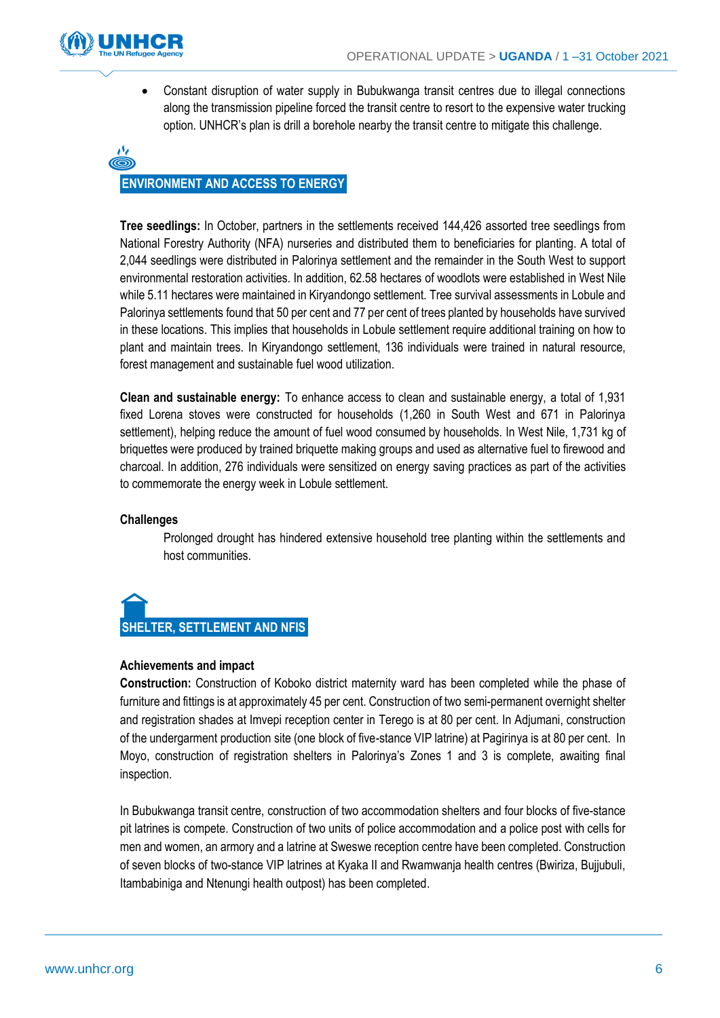

• Constant disruption of water supply in Bubukwanga transit centres due to illegal connections along the transmission pipeline forced the transit centre to resort to the expensive water trucking option. UNHCR's plan is drill a borehole nearby the transit centre to mitigate this challenge.



**Tree seedlings:** In October, partners in the settlements received 144,426 assorted tree seedlings from National Forestry Authority (NFA) nurseries and distributed them to beneficiaries for planting. A total of 2,044 seedlings were distributed in Palorinya settlement and the remainder in the South West to support environmental restoration activities. In addition, 62.58 hectares of woodlots were established in West Nile while 5.11 hectares were maintained in Kiryandongo settlement. Tree survival assessments in Lobule and Palorinya settlements found that 50 per cent and 77 per cent of trees planted by households have survived in these locations. This implies that households in Lobule settlement require additional training on how to plant and maintain trees. In Kiryandongo settlement, 136 individuals were trained in natural resource, forest management and sustainable fuel wood utilization.

**Clean and sustainable energy:** To enhance access to clean and sustainable energy, a total of 1,931 fixed Lorena stoves were constructed for households (1,260 in South West and 671 in Palorinya settlement), helping reduce the amount of fuel wood consumed by households. In West Nile, 1,731 kg of briquettes were produced by trained briquette making groups and used as alternative fuel to firewood and charcoal. In addition, 276 individuals were sensitized on energy saving practices as part of the activities to commemorate the energy week in Lobule settlement.

## **Challenges**

Prolonged drought has hindered extensive household tree planting within the settlements and host communities.



## **Achievements and impact**

**Construction:** Construction of Koboko district maternity ward has been completed while the phase of furniture and fittings is at approximately 45 per cent. Construction of two semi-permanent overnight shelter and registration shades at Imvepi reception center in Terego is at 80 per cent. In Adjumani, construction of the undergarment production site (one block of five-stance VIP latrine) at Pagirinya is at 80 per cent. In Moyo, construction of registration shelters in Palorinya's Zones 1 and 3 is complete, awaiting final inspection.

In Bubukwanga transit centre, construction of two accommodation shelters and four blocks of five-stance pit latrines is compete. Construction of two units of police accommodation and a police post with cells for men and women, an armory and a latrine at Sweswe reception centre have been completed. Construction of seven blocks of two-stance VIP latrines at Kyaka II and Rwamwanja health centres (Bwiriza, Bujjubuli, Itambabiniga and Ntenungi health outpost) has been completed.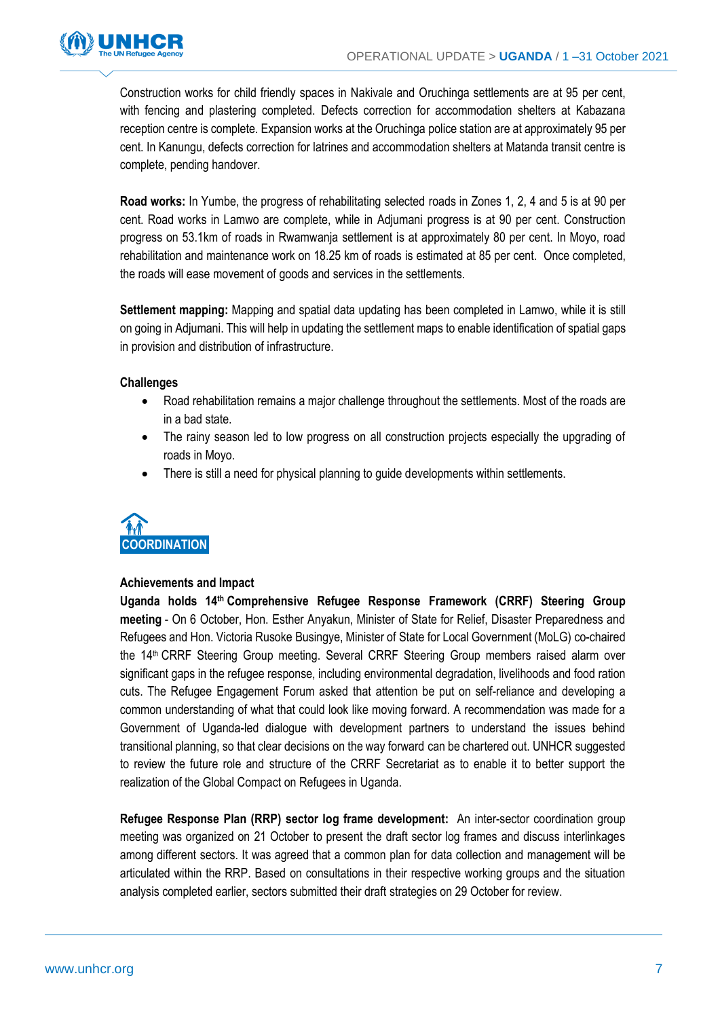

Construction works for child friendly spaces in Nakivale and Oruchinga settlements are at 95 per cent, with fencing and plastering completed. Defects correction for accommodation shelters at Kabazana reception centre is complete. Expansion works at the Oruchinga police station are at approximately 95 per cent. In Kanungu, defects correction for latrines and accommodation shelters at Matanda transit centre is complete, pending handover.

**Road works:** In Yumbe, the progress of rehabilitating selected roads in Zones 1, 2, 4 and 5 is at 90 per cent. Road works in Lamwo are complete, while in Adjumani progress is at 90 per cent. Construction progress on 53.1km of roads in Rwamwanja settlement is at approximately 80 per cent. In Moyo, road rehabilitation and maintenance work on 18.25 km of roads is estimated at 85 per cent. Once completed, the roads will ease movement of goods and services in the settlements.

**Settlement mapping:** Mapping and spatial data updating has been completed in Lamwo, while it is still on going in Adjumani. This will help in updating the settlement maps to enable identification of spatial gaps in provision and distribution of infrastructure.

## **Challenges**

- Road rehabilitation remains a major challenge throughout the settlements. Most of the roads are in a bad state.
- The rainy season led to low progress on all construction projects especially the upgrading of roads in Moyo.
- There is still a need for physical planning to guide developments within settlements.



## **Achievements and Impact**

**Uganda holds 14th Comprehensive Refugee Response Framework (CRRF) Steering Group meeting** - On 6 October, Hon. Esther Anyakun, Minister of State for Relief, Disaster Preparedness and Refugees and Hon. Victoria Rusoke Busingye, Minister of State for Local Government (MoLG) co-chaired the 14<sup>th</sup> CRRF Steering Group meeting. Several CRRF Steering Group members raised alarm over significant gaps in the refugee response, including environmental degradation, livelihoods and food ration cuts. The Refugee Engagement Forum asked that attention be put on self-reliance and developing a common understanding of what that could look like moving forward. A recommendation was made for a Government of Uganda-led dialogue with development partners to understand the issues behind transitional planning, so that clear decisions on the way forward can be chartered out. UNHCR suggested to review the future role and structure of the CRRF Secretariat as to enable it to better support the realization of the Global Compact on Refugees in Uganda.

**Refugee Response Plan (RRP) sector log frame development:** An inter-sector coordination group meeting was organized on 21 October to present the draft sector log frames and discuss interlinkages among different sectors. It was agreed that a common plan for data collection and management will be articulated within the RRP. Based on consultations in their respective working groups and the situation analysis completed earlier, sectors submitted their draft strategies on 29 October for review.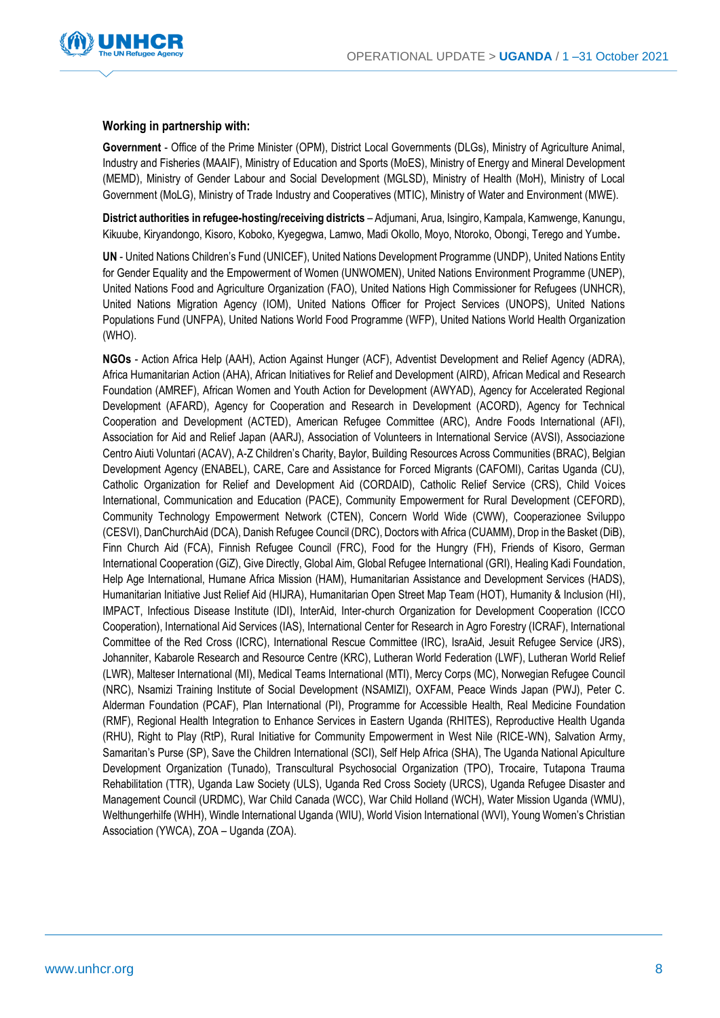



#### **Working in partnership with:**

**Government** - Office of the Prime Minister (OPM), District Local Governments (DLGs), Ministry of Agriculture Animal, Industry and Fisheries (MAAIF), Ministry of Education and Sports (MoES), Ministry of Energy and Mineral Development (MEMD), Ministry of Gender Labour and Social Development (MGLSD), Ministry of Health (MoH), Ministry of Local Government (MoLG), Ministry of Trade Industry and Cooperatives (MTIC), Ministry of Water and Environment (MWE).

**District authorities in refugee-hosting/receiving districts** – Adjumani, Arua, Isingiro, Kampala, Kamwenge, Kanungu, Kikuube, Kiryandongo, Kisoro, Koboko, Kyegegwa, Lamwo, Madi Okollo, Moyo, Ntoroko, Obongi, Terego and Yumbe**.**

**UN** - United Nations Children's Fund (UNICEF), United Nations Development Programme (UNDP), United Nations Entity for Gender Equality and the Empowerment of Women (UNWOMEN), United Nations Environment Programme (UNEP), United Nations Food and Agriculture Organization (FAO), United Nations High Commissioner for Refugees (UNHCR), United Nations Migration Agency (IOM), United Nations Officer for Project Services (UNOPS), United Nations Populations Fund (UNFPA), United Nations World Food Programme (WFP), United Nations World Health Organization (WHO).

**NGOs** - Action Africa Help (AAH), Action Against Hunger (ACF), Adventist Development and Relief Agency (ADRA), Africa Humanitarian Action (AHA), African Initiatives for Relief and Development (AIRD), African Medical and Research Foundation (AMREF), African Women and Youth Action for Development (AWYAD), Agency for Accelerated Regional Development (AFARD), Agency for Cooperation and Research in Development (ACORD), Agency for Technical Cooperation and Development (ACTED), American Refugee Committee (ARC), Andre Foods International (AFI), Association for Aid and Relief Japan (AARJ), Association of Volunteers in International Service (AVSI), Associazione Centro Aiuti Voluntari (ACAV), A-Z Children's Charity, Baylor, Building Resources Across Communities (BRAC), Belgian Development Agency (ENABEL), CARE, Care and Assistance for Forced Migrants (CAFOMI), Caritas Uganda (CU), Catholic Organization for Relief and Development Aid (CORDAID), Catholic Relief Service (CRS), Child Voices International, Communication and Education (PACE), Community Empowerment for Rural Development (CEFORD), Community Technology Empowerment Network (CTEN), Concern World Wide (CWW), Cooperazionee Sviluppo (CESVI), DanChurchAid (DCA), Danish Refugee Council (DRC), Doctors with Africa (CUAMM), Drop in the Basket (DiB), Finn Church Aid (FCA), Finnish Refugee Council (FRC), Food for the Hungry (FH), Friends of Kisoro, German International Cooperation (GiZ), Give Directly, Global Aim, Global Refugee International (GRI), Healing Kadi Foundation, Help Age International, Humane Africa Mission (HAM), Humanitarian Assistance and Development Services (HADS), Humanitarian Initiative Just Relief Aid (HIJRA), Humanitarian Open Street Map Team (HOT), Humanity & Inclusion (HI), IMPACT, Infectious Disease Institute (IDI), InterAid, Inter-church Organization for Development Cooperation (ICCO Cooperation), International Aid Services (IAS), International Center for Research in Agro Forestry (ICRAF), International Committee of the Red Cross (ICRC), International Rescue Committee (IRC), IsraAid, Jesuit Refugee Service (JRS), Johanniter, Kabarole Research and Resource Centre (KRC), Lutheran World Federation (LWF), Lutheran World Relief (LWR), Malteser International (MI), Medical Teams International (MTI), Mercy Corps (MC), Norwegian Refugee Council (NRC), Nsamizi Training Institute of Social Development (NSAMIZI), OXFAM, Peace Winds Japan (PWJ), Peter C. Alderman Foundation (PCAF), Plan International (PI), Programme for Accessible Health, Real Medicine Foundation (RMF), Regional Health Integration to Enhance Services in Eastern Uganda (RHITES), Reproductive Health Uganda (RHU), Right to Play (RtP), Rural Initiative for Community Empowerment in West Nile (RICE-WN), Salvation Army, Samaritan's Purse (SP), Save the Children International (SCI), Self Help Africa (SHA), The Uganda National Apiculture Development Organization (Tunado), Transcultural Psychosocial Organization (TPO), Trocaire, Tutapona Trauma Rehabilitation (TTR), Uganda Law Society (ULS), Uganda Red Cross Society (URCS), Uganda Refugee Disaster and Management Council (URDMC), War Child Canada (WCC), War Child Holland (WCH), Water Mission Uganda (WMU), Welthungerhilfe (WHH), Windle International Uganda (WIU), World Vision International (WVI), Young Women's Christian Association (YWCA), ZOA – Uganda (ZOA).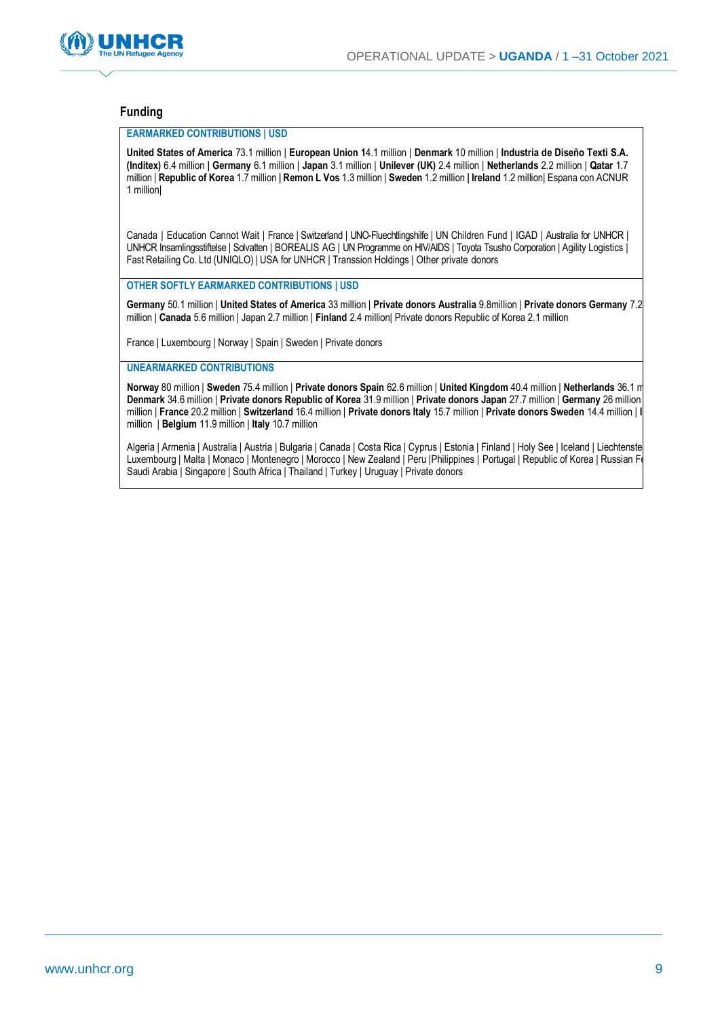

#### **Funding**

#### **EARMARKED CONTRIBUTIONS | USD**

**United States of America** 73.1 million | **European Union 1**4.1 million | **Denmark** 10 million | **Industria de Diseño Texti S.A. (Inditex)** 6.4 million **| Germany** 6.1 million | **Japan** 3.1 million | **Unilever (UK)** 2.4 million | **Netherlands** 2.2 million | **Qatar** 1.7 million | **Republic of Korea** 1.7 million **| Remon L Vos** 1.3 million | **Sweden** 1.2 million **| Ireland** 1.2 million| Espana con ACNUR 1 million|

Canada | Education Cannot Wait | France | Switzerland | UNO-Fluechtlingshilfe | UN Children Fund | IGAD | Australia for UNHCR | UNHCR Insamlingsstiftelse | Solvatten | BOREALIS AG | UN Programme on HIV/AIDS | Toyota Tsusho Corporation | Agility Logistics | Fast Retailing Co. Ltd (UNIQLO) | USA for UNHCR | Transsion Holdings | Other private donors

**OTHER SOFTLY EARMARKED CONTRIBUTIONS | USD**

**Germany** 50.1 million | **United States of America** 33 million | **Private donors Australia** 9.8million | **Private donors Germany** 7.2 million | **Canada** 5.6 million | Japan 2.7 million | **Finland** 2.4 million| Private donors Republic of Korea 2.1 million

France | Luxembourg | Norway | Spain | Sweden | Private donors

#### **UNEARMARKED CONTRIBUTIONS**

**Norway** 80 million | **Sweden** 75.4 million | **Private donors Spain** 62.6 million | **United Kingdom** 40.4 million | **Netherlands** 36.1 million | **Denmark** 34.6 million | **Private donors Republic of Korea** 31.9 million | **Private donors Japan** 27.7 million | **Germany** 26 million | **Japan** 23.4 million | **France** 20.2 million | **Switzerland** 16.4 million | **Private donors Italy** 15.7 million | **Private donors Sweden** 14.4 million | **Ireland** 12.5 million | **Belgium** 11.9 million | **Italy** 10.7 million

Algeria | Armenia | Australia | Austria | Bulgaria | Canada | Costa Rica | Cyprus | Estonia | Finland | Holy See | Iceland | Liechtenste Luxembourg | Malta | Monaco | Montenegro | Morocco | New Zealand | Peru | Philippines | Portugal | Republic of Korea | Russian Fi Saudi Arabia | Singapore | South Africa | Thailand | Turkey | Uruguay | Private donors